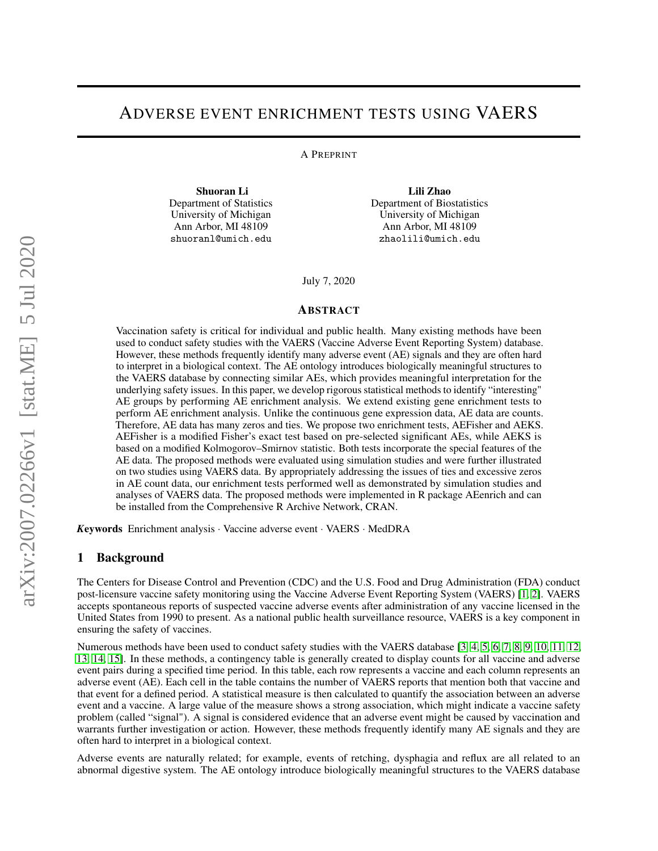# ADVERSE EVENT ENRICHMENT TESTS USING VAERS

A PREPRINT

Shuoran Li Department of Statistics University of Michigan Ann Arbor, MI 48109 shuoranl@umich.edu

Lili Zhao Department of Biostatistics University of Michigan Ann Arbor, MI 48109 zhaolili@umich.edu

July 7, 2020

#### ABSTRACT

Vaccination safety is critical for individual and public health. Many existing methods have been used to conduct safety studies with the VAERS (Vaccine Adverse Event Reporting System) database. However, these methods frequently identify many adverse event (AE) signals and they are often hard to interpret in a biological context. The AE ontology introduces biologically meaningful structures to the VAERS database by connecting similar AEs, which provides meaningful interpretation for the underlying safety issues. In this paper, we develop rigorous statistical methods to identify "interesting" AE groups by performing AE enrichment analysis. We extend existing gene enrichment tests to perform AE enrichment analysis. Unlike the continuous gene expression data, AE data are counts. Therefore, AE data has many zeros and ties. We propose two enrichment tests, AEFisher and AEKS. AEFisher is a modified Fisher's exact test based on pre-selected significant AEs, while AEKS is based on a modified Kolmogorov–Smirnov statistic. Both tests incorporate the special features of the AE data. The proposed methods were evaluated using simulation studies and were further illustrated on two studies using VAERS data. By appropriately addressing the issues of ties and excessive zeros in AE count data, our enrichment tests performed well as demonstrated by simulation studies and analyses of VAERS data. The proposed methods were implemented in R package AEenrich and can be installed from the Comprehensive R Archive Network, CRAN.

*K*eywords Enrichment analysis · Vaccine adverse event · VAERS · MedDRA

### 1 Background

The Centers for Disease Control and Prevention (CDC) and the U.S. Food and Drug Administration (FDA) conduct post-licensure vaccine safety monitoring using the Vaccine Adverse Event Reporting System (VAERS) [\[1,](#page-5-0) [2\]](#page-5-1). VAERS accepts spontaneous reports of suspected vaccine adverse events after administration of any vaccine licensed in the United States from 1990 to present. As a national public health surveillance resource, VAERS is a key component in ensuring the safety of vaccines.

Numerous methods have been used to conduct safety studies with the VAERS database [\[3,](#page-5-2) [4,](#page-5-3) [5,](#page-5-4) [6,](#page-5-5) [7,](#page-5-6) [8,](#page-5-7) [9,](#page-5-8) [10,](#page-5-9) [11,](#page-5-10) [12,](#page-5-11) [13,](#page-5-12) [14,](#page-5-13) [15\]](#page-5-14). In these methods, a contingency table is generally created to display counts for all vaccine and adverse event pairs during a specified time period. In this table, each row represents a vaccine and each column represents an adverse event (AE). Each cell in the table contains the number of VAERS reports that mention both that vaccine and that event for a defined period. A statistical measure is then calculated to quantify the association between an adverse event and a vaccine. A large value of the measure shows a strong association, which might indicate a vaccine safety problem (called "signal"). A signal is considered evidence that an adverse event might be caused by vaccination and warrants further investigation or action. However, these methods frequently identify many AE signals and they are often hard to interpret in a biological context.

Adverse events are naturally related; for example, events of retching, dysphagia and reflux are all related to an abnormal digestive system. The AE ontology introduce biologically meaningful structures to the VAERS database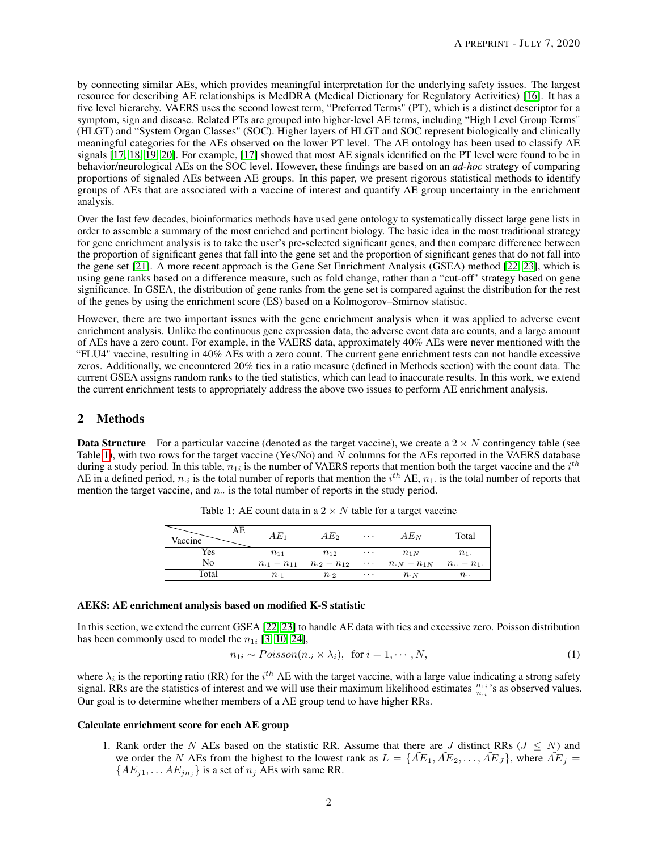by connecting similar AEs, which provides meaningful interpretation for the underlying safety issues. The largest resource for describing AE relationships is MedDRA (Medical Dictionary for Regulatory Activities) [\[16\]](#page-5-15). It has a five level hierarchy. VAERS uses the second lowest term, "Preferred Terms" (PT), which is a distinct descriptor for a symptom, sign and disease. Related PTs are grouped into higher-level AE terms, including "High Level Group Terms" (HLGT) and "System Organ Classes" (SOC). Higher layers of HLGT and SOC represent biologically and clinically meaningful categories for the AEs observed on the lower PT level. The AE ontology has been used to classify AE signals [\[17,](#page-5-16) [18,](#page-5-17) [19,](#page-6-0) [20\]](#page-6-1). For example, [\[17\]](#page-5-16) showed that most AE signals identified on the PT level were found to be in behavior/neurological AEs on the SOC level. However, these findings are based on an *ad-hoc* strategy of comparing proportions of signaled AEs between AE groups. In this paper, we present rigorous statistical methods to identify groups of AEs that are associated with a vaccine of interest and quantify AE group uncertainty in the enrichment analysis.

Over the last few decades, bioinformatics methods have used gene ontology to systematically dissect large gene lists in order to assemble a summary of the most enriched and pertinent biology. The basic idea in the most traditional strategy for gene enrichment analysis is to take the user's pre-selected significant genes, and then compare difference between the proportion of significant genes that fall into the gene set and the proportion of significant genes that do not fall into the gene set [\[21\]](#page-6-2). A more recent approach is the Gene Set Enrichment Analysis (GSEA) method [\[22,](#page-6-3) [23\]](#page-6-4), which is using gene ranks based on a difference measure, such as fold change, rather than a "cut-off" strategy based on gene significance. In GSEA, the distribution of gene ranks from the gene set is compared against the distribution for the rest of the genes by using the enrichment score (ES) based on a Kolmogorov–Smirnov statistic.

However, there are two important issues with the gene enrichment analysis when it was applied to adverse event enrichment analysis. Unlike the continuous gene expression data, the adverse event data are counts, and a large amount of AEs have a zero count. For example, in the VAERS data, approximately 40% AEs were never mentioned with the "FLU4" vaccine, resulting in 40% AEs with a zero count. The current gene enrichment tests can not handle excessive zeros. Additionally, we encountered 20% ties in a ratio measure (defined in Methods section) with the count data. The current GSEA assigns random ranks to the tied statistics, which can lead to inaccurate results. In this work, we extend the current enrichment tests to appropriately address the above two issues to perform AE enrichment analysis.

## 2 Methods

**Data Structure** For a particular vaccine (denoted as the target vaccine), we create a  $2 \times N$  contingency table (see Table [1\)](#page-1-0), with two rows for the target vaccine (Yes/No) and  $\overline{N}$  columns for the AEs reported in the VAERS database during a study period. In this table,  $n_{1i}$  is the number of VAERS reports that mention both the target vaccine and the  $i^{th}$ AE in a defined period,  $n_{\cdot i}$  is the total number of reports that mention the  $i^{th}$  AE,  $n_1$  is the total number of reports that mention the target vaccine, and  $n<sub>·</sub>$  is the total number of reports in the study period.

| AE<br>Vaccine | $AE_1$                 | $AE_2$                 | $\cdot$  | $AE_N$                    | Total             |
|---------------|------------------------|------------------------|----------|---------------------------|-------------------|
| Yes           | $n_{11}$               | $n_{12}$               | $\cdots$ | $n_{1N}$                  | $n_1$ .           |
| No            | $n_{\cdot 1} - n_{11}$ | $n_{\cdot 2} - n_{12}$ |          | $\cdots$ $n_{N} - n_{1N}$ | $n_{-} - n_1$ .   |
| Total         | $n_{\cdot1}$           | $n_{\cdot 2}$          | $\cdots$ | $n_{\cdot N}$             | $n_{\cdot \cdot}$ |

<span id="page-1-0"></span>Table 1: AE count data in a  $2 \times N$  table for a target vaccine

#### AEKS: AE enrichment analysis based on modified K-S statistic

In this section, we extend the current GSEA [\[22,](#page-6-3) [23\]](#page-6-4) to handle AE data with ties and excessive zero. Poisson distribution has been commonly used to model the  $n_{1i}$  [\[3,](#page-5-2) [10,](#page-5-9) [24\]](#page-6-5),

<span id="page-1-1"></span>
$$
n_{1i} \sim Poisson(n_{\cdot i} \times \lambda_i), \text{ for } i = 1, \cdots, N,
$$
\n(1)

where  $\lambda_i$  is the reporting ratio (RR) for the  $i^{th}$  AE with the target vaccine, with a large value indicating a strong safety signal. RRs are the statistics of interest and we will use their maximum likelihood estimates  $\frac{n_{1i}}{n_{1i}}$ 's as observed values. Our goal is to determine whether members of a AE group tend to have higher RRs.

### Calculate enrichment score for each AE group

1. Rank order the N AEs based on the statistic RR. Assume that there are J distinct RRs ( $J \leq N$ ) and we order the N AEs from the highest to the lowest rank as  $L = \{\tilde{A}E_1, \tilde{A}E_2, \ldots, \tilde{A}E_J\}$ , where  $\tilde{A}E_j =$  ${AE_{j1}, \ldots AE_{jn_j}}$  is a set of  $n_j$  AEs with same RR.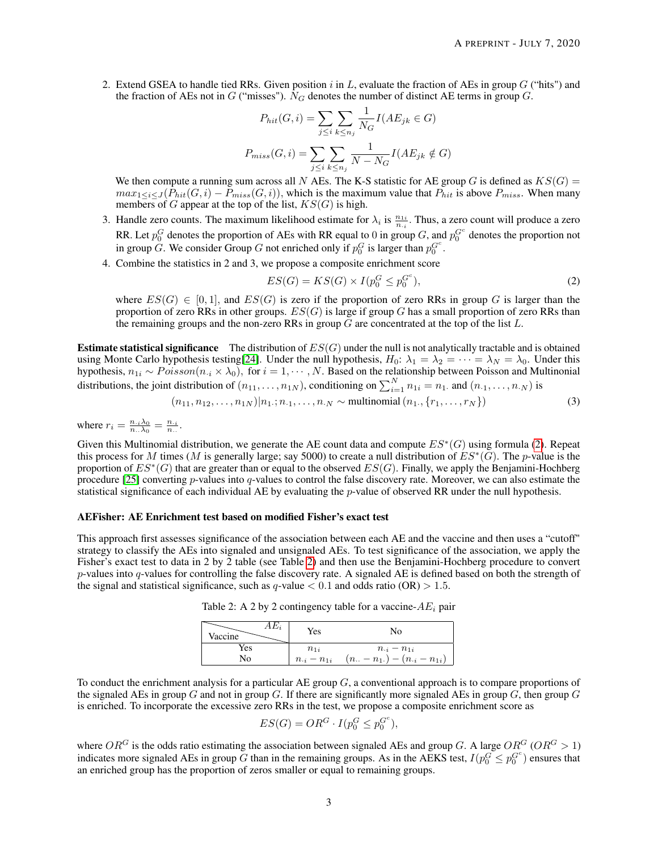2. Extend GSEA to handle tied RRs. Given position i in L, evaluate the fraction of AEs in group  $G$  ("hits") and the fraction of AEs not in G ("misses").  $N_G$  denotes the number of distinct AE terms in group G.

$$
P_{hit}(G, i) = \sum_{j \le i} \sum_{k \le n_j} \frac{1}{N_G} I(AE_{jk} \in G)
$$

$$
P_{miss}(G, i) = \sum_{j \le i} \sum_{k \le n_j} \frac{1}{N - N_G} I(AE_{jk} \notin G)
$$

We then compute a running sum across all N AEs. The K-S statistic for AE group G is defined as  $KS(G)$  =  $max_{1 \le i \le J} (P_{hit}(G, i) - P_{miss}(G, i))$ , which is the maximum value that  $P_{hit}$  is above  $P_{miss}$ . When many members of G appear at the top of the list,  $KS(G)$  is high.

- 3. Handle zero counts. The maximum likelihood estimate for  $\lambda_i$  is  $\frac{n_{1i}}{n_{i}}$ . Thus, a zero count will produce a zero RR. Let  $p_0^G$  denotes the proportion of AEs with RR equal to 0 in group G, and  $p_0^{G^c}$  denotes the proportion not in group G. We consider Group G not enriched only if  $p_0^G$  is larger than  $p_0^{G^c}$ .
- 4. Combine the statistics in 2 and 3, we propose a composite enrichment score

<span id="page-2-0"></span>
$$
ES(G) = KS(G) \times I(p_0^G \le p_0^{G^c}),
$$
\n<sup>(2)</sup>

where  $ES(G) \in [0, 1]$ , and  $ES(G)$  is zero if the proportion of zero RRs in group G is larger than the proportion of zero RRs in other groups.  $ES(G)$  is large if group G has a small proportion of zero RRs than the remaining groups and the non-zero RRs in group  $G$  are concentrated at the top of the list  $L$ .

**Estimate statistical significance** The distribution of  $ES(G)$  under the null is not analytically tractable and is obtained using Monte Carlo hypothesis testing[\[24\]](#page-6-5). Under the null hypothesis,  $H_0$ :  $\lambda_1 = \lambda_2 = \cdots = \lambda_N = \lambda_0$ . Under this hypothesis,  $n_{1i} \sim Poisson(n_{i} \times \lambda_0)$ , for  $i = 1, \dots, N$ . Based on the relationship between Poisson and Multinonial distributions, the joint distribution of  $(n_{11},...,n_{1N})$ , conditioning on  $\sum_{i=1}^{N} n_{1i} = n_1$ . and  $(n_{\cdot 1},...,n_{\cdot N})$  is

$$
(n_{11}, n_{12}, \dots, n_{1N}) | n_1; n_{11}, \dots, n_N \sim \text{multinomial}(n_1, \{r_1, \dots, r_N\})
$$
\n(3)

where  $r_i = \frac{n_{\cdot i} \lambda_0}{n_{\cdot \cdot} \lambda_0} = \frac{n_{\cdot i}}{n_{\cdot \cdot}}$ .

Given this Multinomial distribution, we generate the AE count data and compute  $ES^*(G)$  using formula [\(2\)](#page-2-0). Repeat this process for M times (M is generally large; say 5000) to create a null distribution of  $ES^*(G)$ . The p-value is the proportion of  $ES^*(G)$  that are greater than or equal to the observed  $ES(G)$ . Finally, we apply the Benjamini-Hochberg procedure  $[25]$  converting p-values into q-values to control the false discovery rate. Moreover, we can also estimate the statistical significance of each individual AE by evaluating the *p*-value of observed RR under the null hypothesis.

### AEFisher: AE Enrichment test based on modified Fisher's exact test

This approach first assesses significance of the association between each AE and the vaccine and then uses a "cutoff" strategy to classify the AEs into signaled and unsignaled AEs. To test significance of the association, we apply the Fisher's exact test to data in 2 by 2 table (see Table [2\)](#page-2-1) and then use the Benjamini-Hochberg procedure to convert p-values into  $q$ -values for controlling the false discovery rate. A signaled AE is defined based on both the strength of the signal and statistical significance, such as  $q$ -value  $< 0.1$  and odds ratio (OR)  $> 1.5$ .

<span id="page-2-1"></span>Table 2: A 2 by 2 contingency table for a vaccine- $AE_i$  pair

| $AE_i$<br>Vaccine | Yes                  | No                                                 |
|-------------------|----------------------|----------------------------------------------------|
| Yes               | $n_{1i}$             | $n_{\cdot i} - n_{1i}$                             |
| No                | $n_{\cdot i}-n_{1i}$ | $(n_{\cdot\cdot}-n_{1\cdot})-(n_{\cdot i}-n_{1i})$ |

To conduct the enrichment analysis for a particular AE group  $G$ , a conventional approach is to compare proportions of the signaled AEs in group G and not in group G. If there are significantly more signaled AEs in group  $G$ , then group G is enriched. To incorporate the excessive zero RRs in the test, we propose a composite enrichment score as

$$
ES(G) = OR^G \cdot I(p_0^G \le p_0^{G^c}),
$$

where  $OR^G$  is the odds ratio estimating the association between signaled AEs and group G. A large  $OR^G$  ( $OR^G > 1$ ) indicates more signaled AEs in group G than in the remaining groups. As in the AEKS test,  $I(p_0^G \leq p_0^{G_c})$  ensures that an enriched group has the proportion of zeros smaller or equal to remaining groups.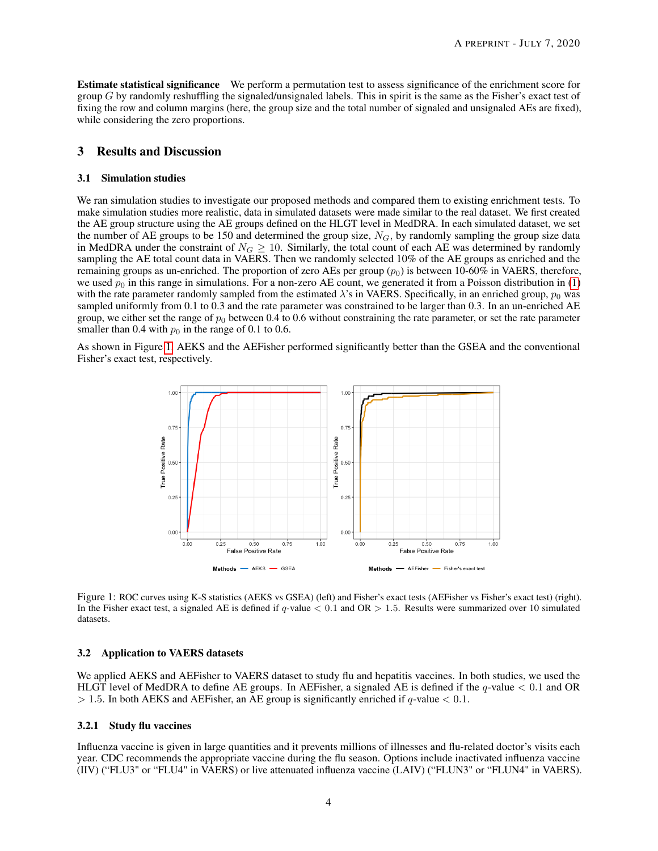Estimate statistical significance We perform a permutation test to assess significance of the enrichment score for group  $G$  by randomly reshuffling the signaled/unsignaled labels. This in spirit is the same as the Fisher's exact test of fixing the row and column margins (here, the group size and the total number of signaled and unsignaled AEs are fixed), while considering the zero proportions.

## 3 Results and Discussion

#### 3.1 Simulation studies

We ran simulation studies to investigate our proposed methods and compared them to existing enrichment tests. To make simulation studies more realistic, data in simulated datasets were made similar to the real dataset. We first created the AE group structure using the AE groups defined on the HLGT level in MedDRA. In each simulated dataset, we set the number of AE groups to be 150 and determined the group size,  $N_G$ , by randomly sampling the group size data in MedDRA under the constraint of  $N_G \ge 10$ . Similarly, the total count of each AE was determined by randomly sampling the AE total count data in VAERS. Then we randomly selected 10% of the AE groups as enriched and the remaining groups as un-enriched. The proportion of zero AEs per group  $(p_0)$  is between 10-60% in VAERS, therefore, we used  $p_0$  in this range in simulations. For a non-zero AE count, we generated it from a Poisson distribution in [\(1\)](#page-1-1) with the rate parameter randomly sampled from the estimated  $\lambda$ 's in VAERS. Specifically, in an enriched group,  $p_0$  was sampled uniformly from 0.1 to 0.3 and the rate parameter was constrained to be larger than 0.3. In an un-enriched AE group, we either set the range of  $p_0$  between 0.4 to 0.6 without constraining the rate parameter, or set the rate parameter smaller than 0.4 with  $p_0$  in the range of 0.1 to 0.6.

As shown in Figure [1,](#page-3-0) AEKS and the AEFisher performed significantly better than the GSEA and the conventional Fisher's exact test, respectively.



<span id="page-3-0"></span>Figure 1: ROC curves using K-S statistics (AEKS vs GSEA) (left) and Fisher's exact tests (AEFisher vs Fisher's exact test) (right). In the Fisher exact test, a signaled AE is defined if  $q$ -value  $< 0.1$  and OR  $> 1.5$ . Results were summarized over 10 simulated datasets.

#### 3.2 Application to VAERS datasets

We applied AEKS and AEFisher to VAERS dataset to study flu and hepatitis vaccines. In both studies, we used the HLGT level of MedDRA to define AE groups. In AEFisher, a signaled AE is defined if the q-value  $< 0.1$  and OR  $> 1.5$ . In both AEKS and AEFisher, an AE group is significantly enriched if q-value  $< 0.1$ .

#### 3.2.1 Study flu vaccines

Influenza vaccine is given in large quantities and it prevents millions of illnesses and flu-related doctor's visits each year. CDC recommends the appropriate vaccine during the flu season. Options include inactivated influenza vaccine (IIV) ("FLU3" or "FLU4" in VAERS) or live attenuated influenza vaccine (LAIV) ("FLUN3" or "FLUN4" in VAERS).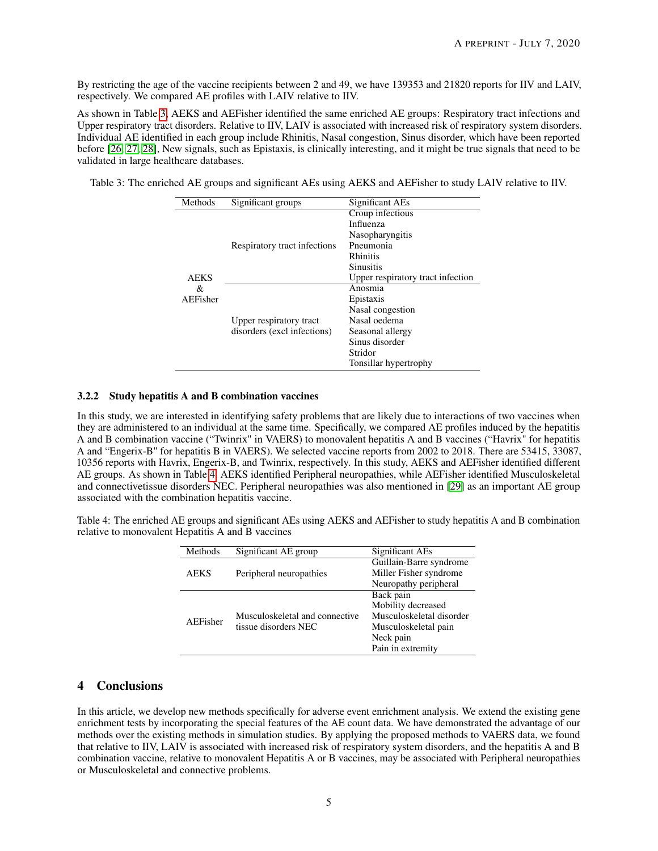By restricting the age of the vaccine recipients between 2 and 49, we have 139353 and 21820 reports for IIV and LAIV, respectively. We compared AE profiles with LAIV relative to IIV.

As shown in Table [3,](#page-4-0) AEKS and AEFisher identified the same enriched AE groups: Respiratory tract infections and Upper respiratory tract disorders. Relative to IIV, LAIV is associated with increased risk of respiratory system disorders. Individual AE identified in each group include Rhinitis, Nasal congestion, Sinus disorder, which have been reported before [\[26,](#page-6-7) [27,](#page-6-8) [28\]](#page-6-9), New signals, such as Epistaxis, is clinically interesting, and it might be true signals that need to be validated in large healthcare databases.

<span id="page-4-0"></span>Table 3: The enriched AE groups and significant AEs using AEKS and AEFisher to study LAIV relative to IIV.

| Methods                      | Significant groups                                     | Significant AEs                   |  |
|------------------------------|--------------------------------------------------------|-----------------------------------|--|
| <b>AEKS</b><br>&<br>AEFisher |                                                        | Croup infectious                  |  |
|                              | Respiratory tract infections                           | Influenza                         |  |
|                              |                                                        | Nasopharyngitis                   |  |
|                              |                                                        | Pneumonia                         |  |
|                              |                                                        | <b>Rhinitis</b>                   |  |
|                              |                                                        | <b>Sinusitis</b>                  |  |
|                              |                                                        | Upper respiratory tract infection |  |
|                              | Upper respiratory tract<br>disorders (excl infections) | Anosmia                           |  |
|                              |                                                        | Epistaxis                         |  |
|                              |                                                        | Nasal congestion                  |  |
|                              |                                                        | Nasal oedema                      |  |
|                              |                                                        | Seasonal allergy                  |  |
|                              |                                                        | Sinus disorder                    |  |
|                              |                                                        | Stridor                           |  |
|                              |                                                        | Tonsillar hypertrophy             |  |

# 3.2.2 Study hepatitis A and B combination vaccines

In this study, we are interested in identifying safety problems that are likely due to interactions of two vaccines when they are administered to an individual at the same time. Specifically, we compared AE profiles induced by the hepatitis A and B combination vaccine ("Twinrix" in VAERS) to monovalent hepatitis A and B vaccines ("Havrix" for hepatitis A and "Engerix-B" for hepatitis B in VAERS). We selected vaccine reports from 2002 to 2018. There are 53415, 33087, 10356 reports with Havrix, Engerix-B, and Twinrix, respectively. In this study, AEKS and AEFisher identified different AE groups. As shown in Table [4,](#page-4-1) AEKS identified Peripheral neuropathies, while AEFisher identified Musculoskeletal and connectivetissue disorders NEC. Peripheral neuropathies was also mentioned in [\[29\]](#page-6-10) as an important AE group associated with the combination hepatitis vaccine.

<span id="page-4-1"></span>Table 4: The enriched AE groups and significant AEs using AEKS and AEFisher to study hepatitis A and B combination relative to monovalent Hepatitis A and B vaccines

| Methods     | Significant AE group           | Significant AEs          |  |
|-------------|--------------------------------|--------------------------|--|
|             |                                | Guillain-Barre syndrome  |  |
| <b>AEKS</b> | Peripheral neuropathies        | Miller Fisher syndrome   |  |
|             |                                | Neuropathy peripheral    |  |
| AEFisher    |                                | Back pain                |  |
|             |                                | Mobility decreased       |  |
|             | Musculoskeletal and connective | Musculoskeletal disorder |  |
|             | tissue disorders NEC           | Musculoskeletal pain     |  |
|             |                                | Neck pain                |  |
|             |                                | Pain in extremity        |  |

# 4 Conclusions

In this article, we develop new methods specifically for adverse event enrichment analysis. We extend the existing gene enrichment tests by incorporating the special features of the AE count data. We have demonstrated the advantage of our methods over the existing methods in simulation studies. By applying the proposed methods to VAERS data, we found that relative to IIV, LAIV is associated with increased risk of respiratory system disorders, and the hepatitis A and B combination vaccine, relative to monovalent Hepatitis A or B vaccines, may be associated with Peripheral neuropathies or Musculoskeletal and connective problems.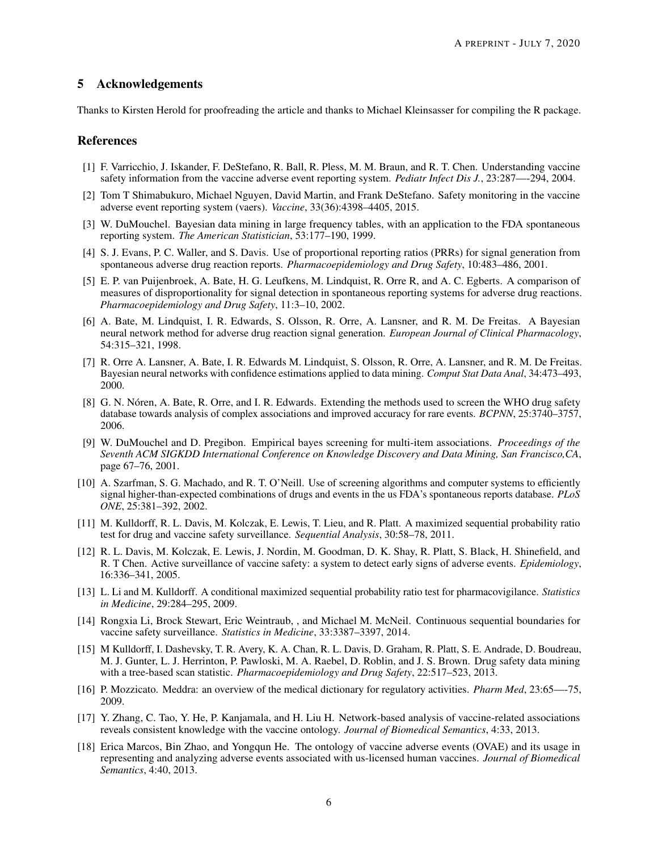## 5 Acknowledgements

Thanks to Kirsten Herold for proofreading the article and thanks to Michael Kleinsasser for compiling the R package.

### References

- <span id="page-5-0"></span>[1] F. Varricchio, J. Iskander, F. DeStefano, R. Ball, R. Pless, M. M. Braun, and R. T. Chen. Understanding vaccine safety information from the vaccine adverse event reporting system. *Pediatr Infect Dis J.*, 23:287—-294, 2004.
- <span id="page-5-1"></span>[2] Tom T Shimabukuro, Michael Nguyen, David Martin, and Frank DeStefano. Safety monitoring in the vaccine adverse event reporting system (vaers). *Vaccine*, 33(36):4398–4405, 2015.
- <span id="page-5-2"></span>[3] W. DuMouchel. Bayesian data mining in large frequency tables, with an application to the FDA spontaneous reporting system. *The American Statistician*, 53:177–190, 1999.
- <span id="page-5-3"></span>[4] S. J. Evans, P. C. Waller, and S. Davis. Use of proportional reporting ratios (PRRs) for signal generation from spontaneous adverse drug reaction reports. *Pharmacoepidemiology and Drug Safety*, 10:483–486, 2001.
- <span id="page-5-4"></span>[5] E. P. van Puijenbroek, A. Bate, H. G. Leufkens, M. Lindquist, R. Orre R, and A. C. Egberts. A comparison of measures of disproportionality for signal detection in spontaneous reporting systems for adverse drug reactions. *Pharmacoepidemiology and Drug Safety*, 11:3–10, 2002.
- <span id="page-5-5"></span>[6] A. Bate, M. Lindquist, I. R. Edwards, S. Olsson, R. Orre, A. Lansner, and R. M. De Freitas. A Bayesian neural network method for adverse drug reaction signal generation. *European Journal of Clinical Pharmacology*, 54:315–321, 1998.
- <span id="page-5-6"></span>[7] R. Orre A. Lansner, A. Bate, I. R. Edwards M. Lindquist, S. Olsson, R. Orre, A. Lansner, and R. M. De Freitas. Bayesian neural networks with confidence estimations applied to data mining. *Comput Stat Data Anal*, 34:473–493, 2000.
- <span id="page-5-7"></span>[8] G. N. Nóren, A. Bate, R. Orre, and I. R. Edwards. Extending the methods used to screen the WHO drug safety database towards analysis of complex associations and improved accuracy for rare events. *BCPNN*, 25:3740–3757, 2006.
- <span id="page-5-8"></span>[9] W. DuMouchel and D. Pregibon. Empirical bayes screening for multi-item associations. *Proceedings of the Seventh ACM SIGKDD International Conference on Knowledge Discovery and Data Mining, San Francisco,CA*, page 67–76, 2001.
- <span id="page-5-9"></span>[10] A. Szarfman, S. G. Machado, and R. T. O'Neill. Use of screening algorithms and computer systems to efficiently signal higher-than-expected combinations of drugs and events in the us FDA's spontaneous reports database. *PLoS ONE*, 25:381–392, 2002.
- <span id="page-5-10"></span>[11] M. Kulldorff, R. L. Davis, M. Kolczak, E. Lewis, T. Lieu, and R. Platt. A maximized sequential probability ratio test for drug and vaccine safety surveillance. *Sequential Analysis*, 30:58–78, 2011.
- <span id="page-5-11"></span>[12] R. L. Davis, M. Kolczak, E. Lewis, J. Nordin, M. Goodman, D. K. Shay, R. Platt, S. Black, H. Shinefield, and R. T Chen. Active surveillance of vaccine safety: a system to detect early signs of adverse events. *Epidemiology*, 16:336–341, 2005.
- <span id="page-5-12"></span>[13] L. Li and M. Kulldorff. A conditional maximized sequential probability ratio test for pharmacovigilance. *Statistics in Medicine*, 29:284–295, 2009.
- <span id="page-5-13"></span>[14] Rongxia Li, Brock Stewart, Eric Weintraub, , and Michael M. McNeil. Continuous sequential boundaries for vaccine safety surveillance. *Statistics in Medicine*, 33:3387–3397, 2014.
- <span id="page-5-14"></span>[15] M Kulldorff, I. Dashevsky, T. R. Avery, K. A. Chan, R. L. Davis, D. Graham, R. Platt, S. E. Andrade, D. Boudreau, M. J. Gunter, L. J. Herrinton, P. Pawloski, M. A. Raebel, D. Roblin, and J. S. Brown. Drug safety data mining with a tree-based scan statistic. *Pharmacoepidemiology and Drug Safety*, 22:517–523, 2013.
- <span id="page-5-15"></span>[16] P. Mozzicato. Meddra: an overview of the medical dictionary for regulatory activities. *Pharm Med*, 23:65—-75, 2009.
- <span id="page-5-16"></span>[17] Y. Zhang, C. Tao, Y. He, P. Kanjamala, and H. Liu H. Network-based analysis of vaccine-related associations reveals consistent knowledge with the vaccine ontology. *Journal of Biomedical Semantics*, 4:33, 2013.
- <span id="page-5-17"></span>[18] Erica Marcos, Bin Zhao, and Yongqun He. The ontology of vaccine adverse events (OVAE) and its usage in representing and analyzing adverse events associated with us-licensed human vaccines. *Journal of Biomedical Semantics*, 4:40, 2013.